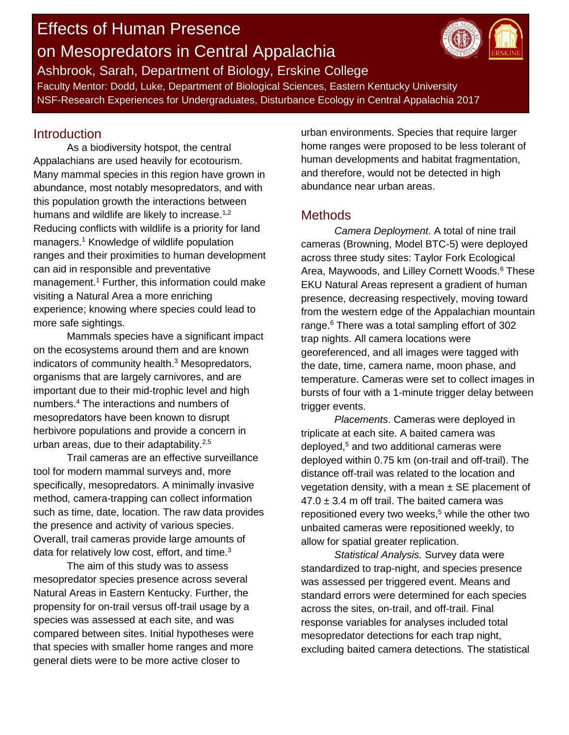# Effects of Human Presence on Mesopredators in Central Appalachia



Ashbrook, Sarah, Department of Biology, Erskine College Faculty Mentor: Dodd, Luke, Department of Biological Sciences, Eastern Kentucky University NSF-Research Experiences for Undergraduates, Disturbance Ecology in Central Appalachia 2017

#### **Introduction**

As a biodiversity hotspot, the central Appalachians are used heavily for ecotourism. Many mammal species in this region have grown in abundance, most notably mesopredators, and with this population growth the interactions between humans and wildlife are likely to increase.<sup>1,2</sup> Reducing conflicts with wildlife is a priority for land managers.<sup>1</sup> Knowledge of wildlife population ranges and their proximities to human development can aid in responsible and preventative management.<sup>1</sup> Further, this information could make visiting a Natural Area a more enriching experience; knowing where species could lead to more safe sightings.

Mammals species have a significant impact on the ecosystems around them and are known indicators of community health. <sup>3</sup> Mesopredators, organisms that are largely carnivores, and are important due to their mid-trophic level and high numbers. <sup>4</sup> The interactions and numbers of mesopredators have been known to disrupt herbivore populations and provide a concern in urban areas, due to their adaptability. $2,5$ 

Trail cameras are an effective surveillance tool for modern mammal surveys and, more specifically, mesopredators. A minimally invasive method, camera-trapping can collect information such as time, date, location. The raw data provides the presence and activity of various species. Overall, trail cameras provide large amounts of data for relatively low cost, effort, and time. $3$ 

The aim of this study was to assess mesopredator species presence across several Natural Areas in Eastern Kentucky. Further, the propensity for on-trail versus off-trail usage by a species was assessed at each site, and was compared between sites. Initial hypotheses were that species with smaller home ranges and more general diets were to be more active closer to

urban environments. Species that require larger home ranges were proposed to be less tolerant of human developments and habitat fragmentation, and therefore, would not be detected in high abundance near urban areas.

#### **Methods**

*Camera Deployment*. A total of nine trail cameras (Browning, Model BTC-5) were deployed across three study sites: Taylor Fork Ecological Area, Maywoods, and Lilley Cornett Woods.<sup>6</sup> These EKU Natural Areas represent a gradient of human presence, decreasing respectively, moving toward from the western edge of the Appalachian mountain range.<sup>6</sup> There was a total sampling effort of 302 trap nights. All camera locations were georeferenced, and all images were tagged with the date, time, camera name, moon phase, and temperature. Cameras were set to collect images in bursts of four with a 1-minute trigger delay between trigger events.

*Placements*. Cameras were deployed in triplicate at each site. A baited camera was deployed, <sup>5</sup> and two additional cameras were deployed within 0.75 km (on-trail and off-trail). The distance off-trail was related to the location and vegetation density, with a mean  $\pm$  SE placement of  $47.0 \pm 3.4$  m off trail. The baited camera was repositioned every two weeks, <sup>5</sup> while the other two unbaited cameras were repositioned weekly, to allow for spatial greater replication.

*Statistical Analysis.* Survey data were standardized to trap-night, and species presence was assessed per triggered event. Means and standard errors were determined for each species across the sites, on-trail, and off-trail. Final response variables for analyses included total mesopredator detections for each trap night, excluding baited camera detections. The statistical